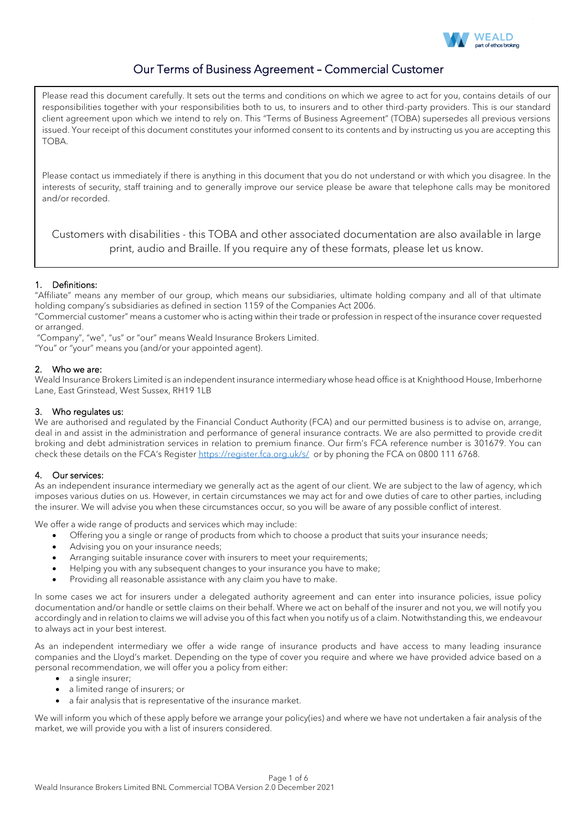

# Our Terms of Business Agreement – Commercial Customer

Please read this document carefully. It sets out the terms and conditions on which we agree to act for you, contains details of our responsibilities together with your responsibilities both to us, to insurers and to other third-party providers. This is our standard client agreement upon which we intend to rely on. This "Terms of Business Agreement" (TOBA) supersedes all previous versions issued. Your receipt of this document constitutes your informed consent to its contents and by instructing us you are accepting this TOBA.

Please contact us immediately if there is anything in this document that you do not understand or with which you disagree. In the interests of security, staff training and to generally improve our service please be aware that telephone calls may be monitored and/or recorded.

Customers with disabilities - this TOBA and other associated documentation are also available in large print, audio and Braille. If you require any of these formats, please let us know.

# 1. Definitions:

"Affiliate" means any member of our group, which means our subsidiaries, ultimate holding company and all of that ultimate holding company's subsidiaries as defined in section 1159 of the Companies Act 2006.

"Commercial customer" means a customer who is acting within their trade or profession in respect of the insurance cover requested or arranged.

"Company", "we", "us" or "our" means Weald Insurance Brokers Limited.

"You" or "your" means you (and/or your appointed agent).

# 2. Who we are:

Weald Insurance Brokers Limited is an independent insurance intermediary whose head office is at Knighthood House, Imberhorne Lane, East Grinstead, West Sussex, RH19 1LB

# 3. Who regulates us:

We are authorised and regulated by the Financial Conduct Authority (FCA) and our permitted business is to advise on, arrange, deal in and assist in the administration and performance of general insurance contracts. We are also permitted to provide credit broking and debt administration services in relation to premium finance. Our firm's FCA reference number is 301679. You can check these details on the FCA's Register <https://register.fca.org.uk/s/>or by phoning the FCA on 0800 111 6768.

# 4. Our services:

As an independent insurance intermediary we generally act as the agent of our client. We are subject to the law of agency, which imposes various duties on us. However, in certain circumstances we may act for and owe duties of care to other parties, including the insurer. We will advise you when these circumstances occur, so you will be aware of any possible conflict of interest.

We offer a wide range of products and services which may include:

- Offering you a single or range of products from which to choose a product that suits your insurance needs;
- Advising you on your insurance needs;
- Arranging suitable insurance cover with insurers to meet your requirements;
- Helping you with any subsequent changes to your insurance you have to make;
- Providing all reasonable assistance with any claim you have to make.

In some cases we act for insurers under a delegated authority agreement and can enter into insurance policies, issue policy documentation and/or handle or settle claims on their behalf. Where we act on behalf of the insurer and not you, we will notify you accordingly and in relation to claims we will advise you of this fact when you notify us of a claim. Notwithstanding this, we endeavour to always act in your best interest.

As an independent intermediary we offer a wide range of insurance products and have access to many leading insurance companies and the Lloyd's market. Depending on the type of cover you require and where we have provided advice based on a personal recommendation, we will offer you a policy from either:

- a single insurer;
- a limited range of insurers; or
- a fair analysis that is representative of the insurance market.

We will inform you which of these apply before we arrange your policy(ies) and where we have not undertaken a fair analysis of the market, we will provide you with a list of insurers considered.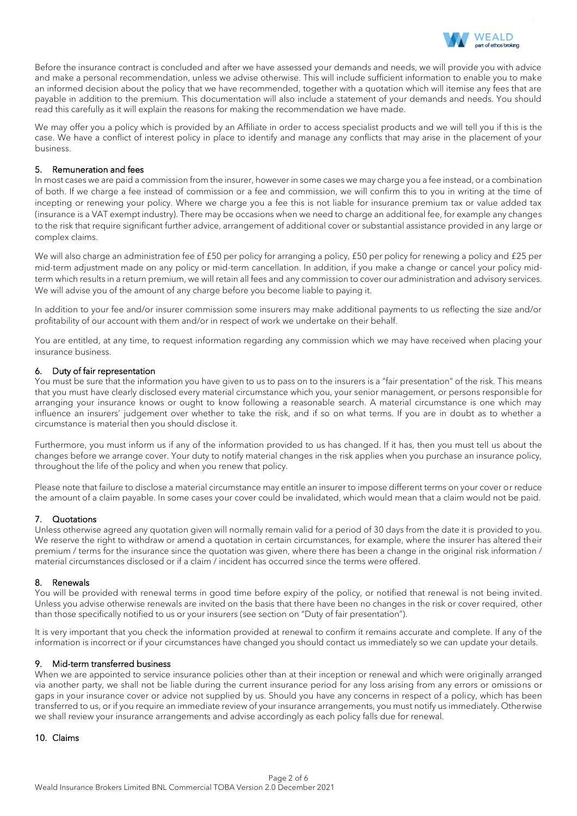

Before the insurance contract is concluded and after we have assessed your demands and needs, we will provide you with advice and make a personal recommendation, unless we advise otherwise. This will include sufficient information to enable you to make an informed decision about the policy that we have recommended, together with a quotation which will itemise any fees that are payable in addition to the premium. This documentation will also include a statement of your demands and needs. You should read this carefully as it will explain the reasons for making the recommendation we have made.

We may offer you a policy which is provided by an Affiliate in order to access specialist products and we will tell you if this is the case. We have a conflict of interest policy in place to identify and manage any conflicts that may arise in the placement of your business.

## 5. Remuneration and fees

In most cases we are paid a commission from the insurer, however in some cases we may charge you a fee instead, or a combination of both. If we charge a fee instead of commission or a fee and commission, we will confirm this to you in writing at the time of incepting or renewing your policy. Where we charge you a fee this is not liable for insurance premium tax or value added tax (insurance is a VAT exempt industry). There may be occasions when we need to charge an additional fee, for example any changes to the risk that require significant further advice, arrangement of additional cover or substantial assistance provided in any large or complex claims.

We will also charge an administration fee of £50 per policy for arranging a policy, £50 per policy for renewing a policy and £25 per mid-term adjustment made on any policy or mid-term cancellation. In addition, if you make a change or cancel your policy midterm which results in a return premium, we will retain all fees and any commission to cover our administration and advisory services. We will advise you of the amount of any charge before you become liable to paying it.

In addition to your fee and/or insurer commission some insurers may make additional payments to us reflecting the size and/or profitability of our account with them and/or in respect of work we undertake on their behalf.

You are entitled, at any time, to request information regarding any commission which we may have received when placing your insurance business.

## 6. Duty of fair representation

You must be sure that the information you have given to us to pass on to the insurers is a "fair presentation" of the risk. This means that you must have clearly disclosed every material circumstance which you, your senior management, or persons responsible for arranging your insurance knows or ought to know following a reasonable search. A material circumstance is one which may influence an insurers' judgement over whether to take the risk, and if so on what terms. If you are in doubt as to whether a circumstance is material then you should disclose it.

Furthermore, you must inform us if any of the information provided to us has changed. If it has, then you must tell us about the changes before we arrange cover. Your duty to notify material changes in the risk applies when you purchase an insurance policy, throughout the life of the policy and when you renew that policy.

Please note that failure to disclose a material circumstance may entitle an insurer to impose different terms on your cover or reduce the amount of a claim payable. In some cases your cover could be invalidated, which would mean that a claim would not be paid.

# 7. Quotations

Unless otherwise agreed any quotation given will normally remain valid for a period of 30 days from the date it is provided to you. We reserve the right to withdraw or amend a quotation in certain circumstances, for example, where the insurer has altered their premium / terms for the insurance since the quotation was given, where there has been a change in the original risk information / material circumstances disclosed or if a claim / incident has occurred since the terms were offered.

#### 8. Renewals

You will be provided with renewal terms in good time before expiry of the policy, or notified that renewal is not being invited. Unless you advise otherwise renewals are invited on the basis that there have been no changes in the risk or cover required, other than those specifically notified to us or your insurers (see section on "Duty of fair presentation").

It is very important that you check the information provided at renewal to confirm it remains accurate and complete. If any of the information is incorrect or if your circumstances have changed you should contact us immediately so we can update your details.

#### 9. Mid-term transferred business

When we are appointed to service insurance policies other than at their inception or renewal and which were originally arranged via another party, we shall not be liable during the current insurance period for any loss arising from any errors or omissions or gaps in your insurance cover or advice not supplied by us. Should you have any concerns in respect of a policy, which has been transferred to us, or if you require an immediate review of your insurance arrangements, you must notify us immediately. Otherwise we shall review your insurance arrangements and advise accordingly as each policy falls due for renewal.

# 10. Claims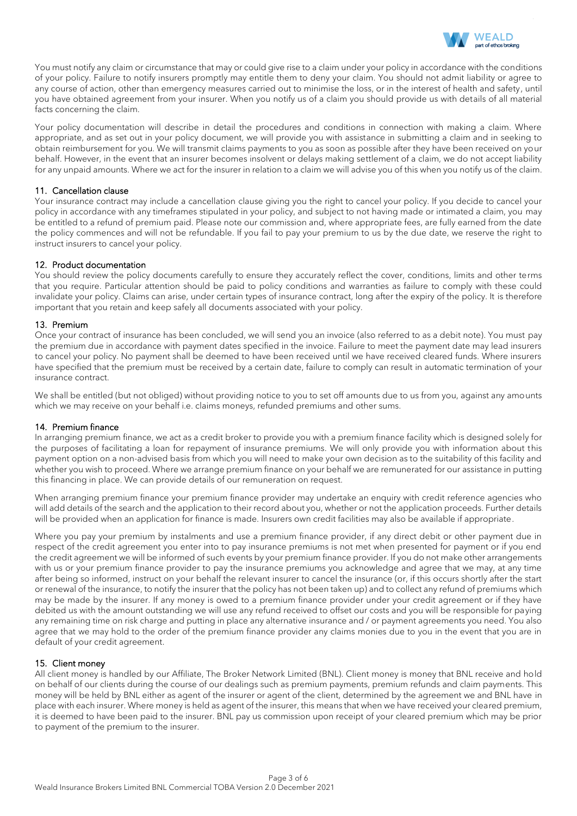

You must notify any claim or circumstance that may or could give rise to a claim under your policy in accordance with the conditions of your policy. Failure to notify insurers promptly may entitle them to deny your claim. You should not admit liability or agree to any course of action, other than emergency measures carried out to minimise the loss, or in the interest of health and safety, until you have obtained agreement from your insurer. When you notify us of a claim you should provide us with details of all material facts concerning the claim.

Your policy documentation will describe in detail the procedures and conditions in connection with making a claim. Where appropriate, and as set out in your policy document, we will provide you with assistance in submitting a claim and in seeking to obtain reimbursement for you. We will transmit claims payments to you as soon as possible after they have been received on your behalf. However, in the event that an insurer becomes insolvent or delays making settlement of a claim, we do not accept liability for any unpaid amounts. Where we act for the insurer in relation to a claim we will advise you of this when you notify us of the claim.

## 11. Cancellation clause

Your insurance contract may include a cancellation clause giving you the right to cancel your policy. If you decide to cancel your policy in accordance with any timeframes stipulated in your policy, and subject to not having made or intimated a claim, you may be entitled to a refund of premium paid. Please note our commission and, where appropriate fees, are fully earned from the date the policy commences and will not be refundable. If you fail to pay your premium to us by the due date, we reserve the right to instruct insurers to cancel your policy.

#### 12. Product documentation

You should review the policy documents carefully to ensure they accurately reflect the cover, conditions, limits and other terms that you require. Particular attention should be paid to policy conditions and warranties as failure to comply with these could invalidate your policy. Claims can arise, under certain types of insurance contract, long after the expiry of the policy. It is therefore important that you retain and keep safely all documents associated with your policy.

## 13. Premium

Once your contract of insurance has been concluded, we will send you an invoice (also referred to as a debit note). You must pay the premium due in accordance with payment dates specified in the invoice. Failure to meet the payment date may lead insurers to cancel your policy. No payment shall be deemed to have been received until we have received cleared funds. Where insurers have specified that the premium must be received by a certain date, failure to comply can result in automatic termination of your insurance contract.

We shall be entitled (but not obliged) without providing notice to you to set off amounts due to us from you, against any amounts which we may receive on your behalf i.e. claims moneys, refunded premiums and other sums.

#### 14. Premium finance

In arranging premium finance, we act as a credit broker to provide you with a premium finance facility which is designed solely for the purposes of facilitating a loan for repayment of insurance premiums. We will only provide you with information about this payment option on a non-advised basis from which you will need to make your own decision as to the suitability of this facility and whether you wish to proceed. Where we arrange premium finance on your behalf we are remunerated for our assistance in putting this financing in place. We can provide details of our remuneration on request.

When arranging premium finance your premium finance provider may undertake an enquiry with credit reference agencies who will add details of the search and the application to their record about you, whether or not the application proceeds. Further details will be provided when an application for finance is made. Insurers own credit facilities may also be available if appropriate.

Where you pay your premium by instalments and use a premium finance provider, if any direct debit or other payment due in respect of the credit agreement you enter into to pay insurance premiums is not met when presented for payment or if you end the credit agreement we will be informed of such events by your premium finance provider. If you do not make other arrangements with us or your premium finance provider to pay the insurance premiums you acknowledge and agree that we may, at any time after being so informed, instruct on your behalf the relevant insurer to cancel the insurance (or, if this occurs shortly after the start or renewal of the insurance, to notify the insurer that the policy has not been taken up) and to collect any refund of premiums which may be made by the insurer. If any money is owed to a premium finance provider under your credit agreement or if they have debited us with the amount outstanding we will use any refund received to offset our costs and you will be responsible for paying any remaining time on risk charge and putting in place any alternative insurance and / or payment agreements you need. You also agree that we may hold to the order of the premium finance provider any claims monies due to you in the event that you are in default of your credit agreement.

# 15. Client money

All client money is handled by our Affiliate, The Broker Network Limited (BNL). Client money is money that BNL receive and hold on behalf of our clients during the course of our dealings such as premium payments, premium refunds and claim payments. This money will be held by BNL either as agent of the insurer or agent of the client, determined by the agreement we and BNL have in place with each insurer. Where money is held as agent of the insurer, this means that when we have received your cleared premium, it is deemed to have been paid to the insurer. BNL pay us commission upon receipt of your cleared premium which may be prior to payment of the premium to the insurer.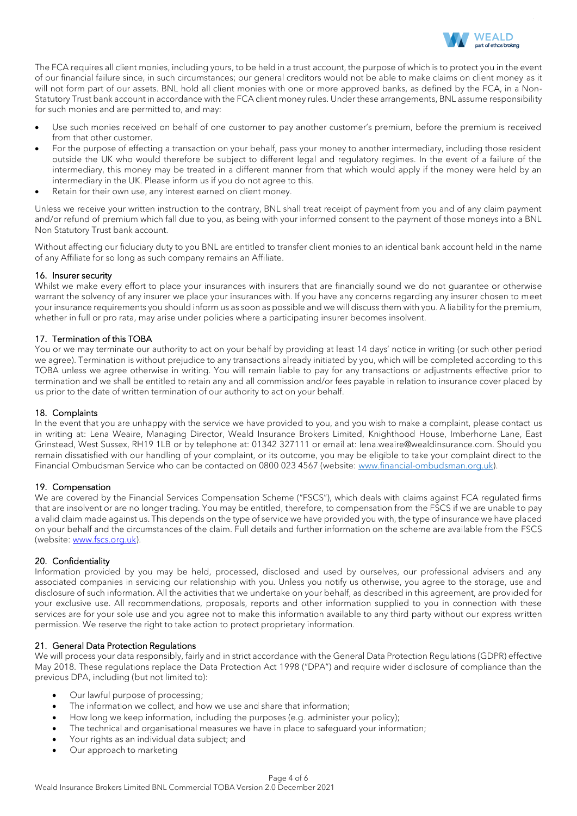

The FCA requires all client monies, including yours, to be held in a trust account, the purpose of which is to protect you in the event of our financial failure since, in such circumstances; our general creditors would not be able to make claims on client money as it will not form part of our assets. BNL hold all client monies with one or more approved banks, as defined by the FCA, in a Non-Statutory Trust bank account in accordance with the FCA client money rules. Under these arrangements, BNL assume responsibility for such monies and are permitted to, and may:

- Use such monies received on behalf of one customer to pay another customer's premium, before the premium is received from that other customer.
- For the purpose of effecting a transaction on your behalf, pass your money to another intermediary, including those resident outside the UK who would therefore be subject to different legal and regulatory regimes. In the event of a failure of the intermediary, this money may be treated in a different manner from that which would apply if the money were held by an intermediary in the UK. Please inform us if you do not agree to this.
- Retain for their own use, any interest earned on client money.

Unless we receive your written instruction to the contrary, BNL shall treat receipt of payment from you and of any claim payment and/or refund of premium which fall due to you, as being with your informed consent to the payment of those moneys into a BNL Non Statutory Trust bank account.

Without affecting our fiduciary duty to you BNL are entitled to transfer client monies to an identical bank account held in the name of any Affiliate for so long as such company remains an Affiliate.

## 16. Insurer security

Whilst we make every effort to place your insurances with insurers that are financially sound we do not guarantee or otherwise warrant the solvency of any insurer we place your insurances with. If you have any concerns regarding any insurer chosen to meet your insurance requirements you should inform us as soon as possible and we will discuss them with you. A liability for the premium, whether in full or pro rata, may arise under policies where a participating insurer becomes insolvent.

## 17. Termination of this TOBA

You or we may terminate our authority to act on your behalf by providing at least 14 days' notice in writing (or such other period we agree). Termination is without prejudice to any transactions already initiated by you, which will be completed according to this TOBA unless we agree otherwise in writing. You will remain liable to pay for any transactions or adjustments effective prior to termination and we shall be entitled to retain any and all commission and/or fees payable in relation to insurance cover placed by us prior to the date of written termination of our authority to act on your behalf.

### 18. Complaints

In the event that you are unhappy with the service we have provided to you, and you wish to make a complaint, please contact us in writing at: Lena Weaire, Managing Director, Weald Insurance Brokers Limited, Knighthood House, Imberhorne Lane, East Grinstead, West Sussex, RH19 1LB or by telephone at: 01342 327111 or email at: lena.weaire@wealdinsurance.com. Should you remain dissatisfied with our handling of your complaint, or its outcome, you may be eligible to take your complaint direct to the Financial Ombudsman Service who can be contacted on 0800 023 4567 (website: [www.financial-ombudsman.org.uk\)](http://www.financial-ombudsman.org.uk/).

# 19. Compensation

We are covered by the Financial Services Compensation Scheme ("FSCS"), which deals with claims against FCA regulated firms that are insolvent or are no longer trading. You may be entitled, therefore, to compensation from the FSCS if we are unable to pay a valid claim made against us. This depends on the type of service we have provided you with, the type of insurance we have placed on your behalf and the circumstances of the claim. Full details and further information on the scheme are available from the FSCS (website: [www.fscs.org.uk\)](http://www.fscs.org.uk/).

#### 20. Confidentiality

Information provided by you may be held, processed, disclosed and used by ourselves, our professional advisers and any associated companies in servicing our relationship with you. Unless you notify us otherwise, you agree to the storage, use and disclosure of such information. All the activities that we undertake on your behalf, as described in this agreement, are provided for your exclusive use. All recommendations, proposals, reports and other information supplied to you in connection with these services are for your sole use and you agree not to make this information available to any third party without our express written permission. We reserve the right to take action to protect proprietary information.

#### 21. General Data Protection Regulations

We will process your data responsibly, fairly and in strict accordance with the General Data Protection Regulations (GDPR) effective May 2018. These regulations replace the Data Protection Act 1998 ("DPA") and require wider disclosure of compliance than the previous DPA, including (but not limited to):

- Our lawful purpose of processing;
- The information we collect, and how we use and share that information;
- How long we keep information, including the purposes (e.g. administer your policy);
- The technical and organisational measures we have in place to safeguard your information;
- Your rights as an individual data subject; and
- Our approach to marketing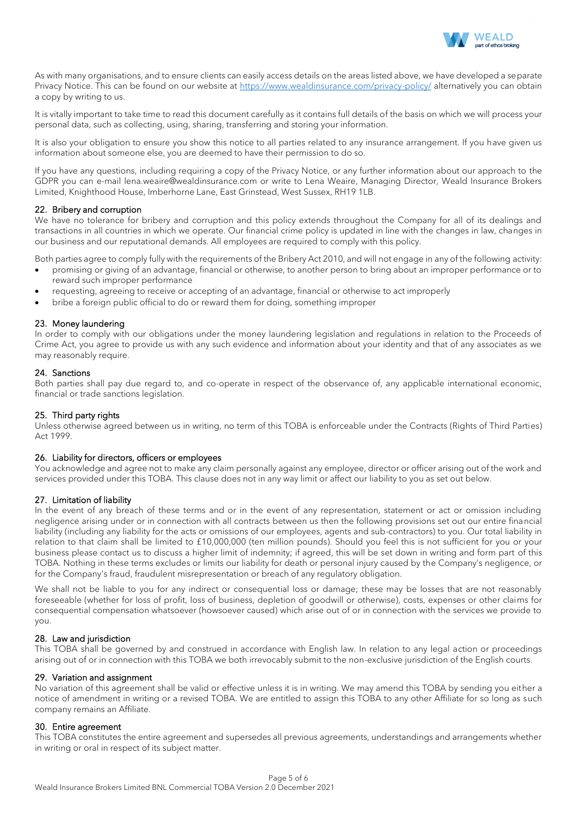

As with many organisations, and to ensure clients can easily access details on the areas listed above, we have developed a separate Privacy Notice. This can be found on our website at<https://www.wealdinsurance.com/privacy-policy/> alternatively you can obtain a copy by writing to us.

It is vitally important to take time to read this document carefully as it contains full details of the basis on which we will process your personal data, such as collecting, using, sharing, transferring and storing your information.

It is also your obligation to ensure you show this notice to all parties related to any insurance arrangement. If you have given us information about someone else, you are deemed to have their permission to do so.

If you have any questions, including requiring a copy of the Privacy Notice, or any further information about our approach to the GDPR you can e-mail lena.weaire@wealdinsurance.com or write to Lena Weaire, Managing Director, Weald Insurance Brokers Limited, Knighthood House, Imberhorne Lane, East Grinstead, West Sussex, RH19 1LB.

# 22. Bribery and corruption

We have no tolerance for bribery and corruption and this policy extends throughout the Company for all of its dealings and transactions in all countries in which we operate. Our financial crime policy is updated in line with the changes in law, changes in our business and our reputational demands. All employees are required to comply with this policy.

Both parties agree to comply fully with the requirements of the Bribery Act 2010, and will not engage in any of the following activity:

- promising or giving of an advantage, financial or otherwise, to another person to bring about an improper performance or to reward such improper performance
- requesting, agreeing to receive or accepting of an advantage, financial or otherwise to act improperly
- bribe a foreign public official to do or reward them for doing, something improper

# 23. Money laundering

In order to comply with our obligations under the money laundering legislation and regulations in relation to the Proceeds of Crime Act, you agree to provide us with any such evidence and information about your identity and that of any associates as we may reasonably require.

## 24. Sanctions

Both parties shall pay due regard to, and co-operate in respect of the observance of, any applicable international economic, financial or trade sanctions legislation.

# 25. Third party rights

Unless otherwise agreed between us in writing, no term of this TOBA is enforceable under the Contracts (Rights of Third Parties) Act 1999.

# 26. Liability for directors, officers or employees

You acknowledge and agree not to make any claim personally against any employee, director or officer arising out of the work and services provided under this TOBA. This clause does not in any way limit or affect our liability to you as set out below.

# 27. Limitation of liability

In the event of any breach of these terms and or in the event of any representation, statement or act or omission including negligence arising under or in connection with all contracts between us then the following provisions set out our entire financial liability (including any liability for the acts or omissions of our employees, agents and sub-contractors) to you. Our total liability in relation to that claim shall be limited to £10,000,000 (ten million pounds). Should you feel this is not sufficient for you or your business please contact us to discuss a higher limit of indemnity; if agreed, this will be set down in writing and form part of this TOBA. Nothing in these terms excludes or limits our liability for death or personal injury caused by the Company's negligence, or for the Company's fraud, fraudulent misrepresentation or breach of any regulatory obligation.

We shall not be liable to you for any indirect or consequential loss or damage; these may be losses that are not reasonably foreseeable (whether for loss of profit, loss of business, depletion of goodwill or otherwise), costs, expenses or other claims for consequential compensation whatsoever (howsoever caused) which arise out of or in connection with the services we provide to you.

# 28. Law and jurisdiction

This TOBA shall be governed by and construed in accordance with English law. In relation to any legal action or proceedings arising out of or in connection with this TOBA we both irrevocably submit to the non-exclusive jurisdiction of the English courts.

# 29. Variation and assignment

No variation of this agreement shall be valid or effective unless it is in writing. We may amend this TOBA by sending you either a notice of amendment in writing or a revised TOBA. We are entitled to assign this TOBA to any other Affiliate for so long as such company remains an Affiliate.

#### 30. Entire agreement

This TOBA constitutes the entire agreement and supersedes all previous agreements, understandings and arrangements whether in writing or oral in respect of its subject matter.